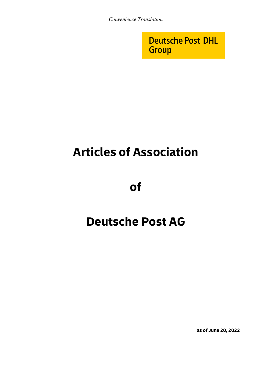**Deutsche Post DHL Group** 

# Articles of Association

of

## Deutsche Post AG

as of June 20, 2022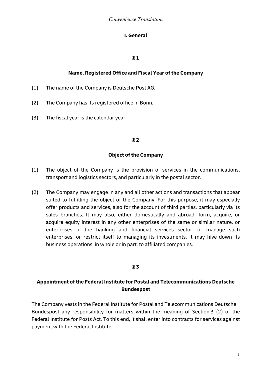## I. General

## § 1

## Name, Registered Office and Fiscal Year of the Company

- (1) The name of the Company is Deutsche Post AG.
- (2) The Company has its registered office in Bonn.
- (3) The fiscal year is the calendar year.

#### § 2

#### Object of the Company

- (1) The object of the Company is the provision of services in the communications, transport and logistics sectors, and particularly in the postal sector.
- (2) The Company may engage in any and all other actions and transactions that appear suited to fulfilling the object of the Company. For this purpose, it may especially offer products and services, also for the account of third parties, particularly via its sales branches. It may also, either domestically and abroad, form, acquire, or acquire equity interest in any other enterprises of the same or similar nature, or enterprises in the banking and financial services sector, or manage such enterprises, or restrict itself to managing its investments. It may hive-down its business operations, in whole or in part, to affiliated companies.

#### § 3

## Appointment of the Federal Institute for Postal and Telecommunications Deutsche Bundespost

The Company vests in the Federal Institute for Postal and Telecommunications Deutsche Bundespost any responsibility for matters within the meaning of Section 3 (2) of the Federal Institute for Posts Act. To this end, it shall enter into contracts for services against payment with the Federal Institute.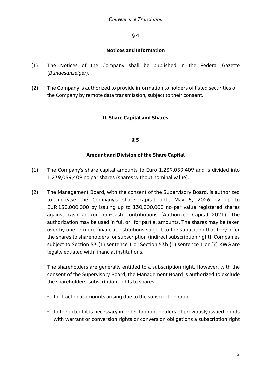#### Notices and Information

- (1) The Notices of the Company shall be published in the Federal Gazette (Bundesanzeiger).
- (2) The Company is authorized to provide information to holders of listed securities of the Company by remote data transmission, subject to their consent.

## II. Share Capital and Shares

#### § 5

#### Amount and Division of the Share Capital

- (1) The Company's share capital amounts to Euro 1,239,059,409 and is divided into 1,239,059,409 no par shares (shares without nominal value).
- (2) The Management Board, with the consent of the Supervisory Board, is authorized to increase the Company's share capital until May 5, 2026 by up to EUR 130,000,000 by issuing up to 130,000,000 no-par value registered shares against cash and/or non-cash contributions (Authorized Capital 2021). The authorization may be used in full or for partial amounts. The shares may be taken over by one or more financial institutions subject to the stipulation that they offer the shares to shareholders for subscription (indirect subscription right). Companies subject to Section 53 (1) sentence 1 or Section 53b (1) sentence 1 or (7) KWG are legally equated with financial institutions.

The shareholders are generally entitled to a subscription right. However, with the consent of the Supervisory Board, the Management Board is authorized to exclude the shareholders' subscription rights to shares:

- for fractional amounts arising due to the subscription ratio;
- to the extent it is necessary in order to grant holders of previously issued bonds with warrant or conversion rights or conversion obligations a subscription right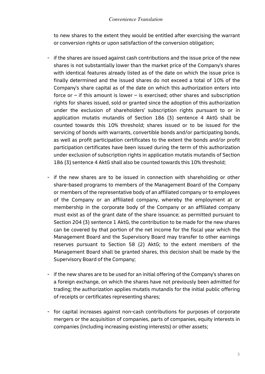to new shares to the extent they would be entitled after exercising the warrant or conversion rights or upon satisfaction of the conversion obligation;

- if the shares are issued against cash contributions and the issue price of the new shares is not substantially lower than the market price of the Company's shares with identical features already listed as of the date on which the issue price is finally determined and the issued shares do not exceed a total of 10% of the Company's share capital as of the date on which this authorization enters into force or – if this amount is lower – is exercised; other shares and subscription rights for shares issued, sold or granted since the adoption of this authorization under the exclusion of shareholders' subscription rights pursuant to or in application mutatis mutandis of Section 186 (3) sentence 4 AktG shall be counted towards this 10% threshold; shares issued or to be issued for the servicing of bonds with warrants, convertible bonds and/or participating bonds, as well as profit participation certificates to the extent the bonds and/or profit participation certificates have been issued during the term of this authorization under exclusion of subscription rights in application mutatis mutandis of Section 186 (3) sentence 4 AktG shall also be counted towards this 10% threshold;
- if the new shares are to be issued in connection with shareholding or other share-based programs to members of the Management Board of the Company or members of the representative body of an affiliated company or to employees of the Company or an affiliated company, whereby the employment at or membership in the corporate body of the Company or an affiliated company must exist as of the grant date of the share issuance; as permitted pursuant to Section 204 (3) sentence 1 AktG, the contribution to be made for the new shares can be covered by that portion of the net income for the fiscal year which the Management Board and the Supervisory Board may transfer to other earnings reserves pursuant to Section 58 (2) AktG; to the extent members of the Management Board shall be granted shares, this decision shall be made by the Supervisory Board of the Company;
- if the new shares are to be used for an initial offering of the Company's shares on a foreign exchange, on which the shares have not previously been admitted for trading; the authorization applies mutatis mutandis for the initial public offering of receipts or certificates representing shares;
- for capital increases against non-cash contributions for purposes of corporate mergers or the acquisition of companies, parts of companies, equity interests in companies (including increasing existing interests) or other assets;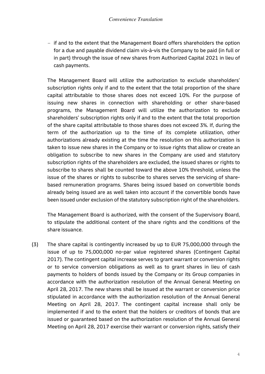- if and to the extent that the Management Board offers shareholders the option for a due and payable dividend claim vis-à-vis the Company to be paid (in full or in part) through the issue of new shares from Authorized Capital 2021 in lieu of cash payments.

The Management Board will utilize the authorization to exclude shareholders' subscription rights only if and to the extent that the total proportion of the share capital attributable to those shares does not exceed 10%. For the purpose of issuing new shares in connection with shareholding or other share-based programs, the Management Board will utilize the authorization to exclude shareholders' subscription rights only if and to the extent that the total proportion of the share capital attributable to those shares does not exceed 3%. If, during the term of the authorization up to the time of its complete utilization, other authorizations already existing at the time the resolution on this authorization is taken to issue new shares in the Company or to issue rights that allow or create an obligation to subscribe to new shares in the Company are used and statutory subscription rights of the shareholders are excluded, the issued shares or rights to subscribe to shares shall be counted toward the above 10% threshold, unless the issue of the shares or rights to subscribe to shares serves the servicing of sharebased remuneration programs. Shares being issued based on convertible bonds already being issued are as well taken into account if the convertible bonds have been issued under exclusion of the statutory subscription right of the shareholders.

The Management Board is authorized, with the consent of the Supervisory Board, to stipulate the additional content of the share rights and the conditions of the share issuance.

(3) The share capital is contingently increased by up to EUR 75,000,000 through the issue of up to 75,000,000 no-par value registered shares (Contingent Capital 2017). The contingent capital increase serves to grant warrant or conversion rights or to service conversion obligations as well as to grant shares in lieu of cash payments to holders of bonds issued by the Company or its Group companies in accordance with the authorization resolution of the Annual General Meeting on April 28, 2017. The new shares shall be issued at the warrant or conversion price stipulated in accordance with the authorization resolution of the Annual General Meeting on April 28, 2017. The contingent capital increase shall only be implemented if and to the extent that the holders or creditors of bonds that are issued or guaranteed based on the authorization resolution of the Annual General Meeting on April 28, 2017 exercise their warrant or conversion rights, satisfy their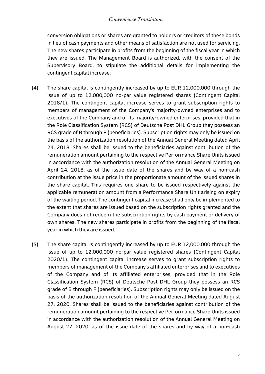conversion obligations or shares are granted to holders or creditors of these bonds in lieu of cash payments and other means of satisfaction are not used for servicing. The new shares participate in profits from the beginning of the fiscal year in which they are issued. The Management Board is authorized, with the consent of the Supervisory Board, to stipulate the additional details for implementing the contingent capital increase.

- (4) The share capital is contingently increased by up to EUR 12,000,000 through the issue of up to 12,000,000 no-par value registered shares (Contingent Capital 2018/1). The contingent capital increase serves to grant subscription rights to members of management of the Company's majority-owned enterprises and to executives of the Company and of its majority-owned enterprises, provided that in the Role Classification System (RCS) of Deutsche Post DHL Group they possess an RCS grade of B through F (beneficiaries). Subscription rights may only be issued on the basis of the authorization resolution of the Annual General Meeting dated April 24, 2018. Shares shall be issued to the beneficiaries against contribution of the remuneration amount pertaining to the respective Performance Share Units issued in accordance with the authorization resolution of the Annual General Meeting on April 24, 2018, as of the issue date of the shares and by way of a non-cash contribution at the issue price in the proportionate amount of the issued shares in the share capital. This requires one share to be issued respectively against the applicable remuneration amount from a Performance Share Unit arising on expiry of the waiting period. The contingent capital increase shall only be implemented to the extent that shares are issued based on the subscription rights granted and the Company does not redeem the subscription rights by cash payment or delivery of own shares. The new shares participate in profits from the beginning of the fiscal year in which they are issued.
- (5) The share capital is contingently increased by up to EUR 12,000,000 through the issue of up to 12,000,000 no-par value registered shares (Contingent Capital 2020/1). The contingent capital increase serves to grant subscription rights to members of management of the Company's affiliated enterprises and to executives of the Company and of its affiliated enterprises, provided that in the Role Classification System (RCS) of Deutsche Post DHL Group they possess an RCS grade of B through F (beneficiaries). Subscription rights may only be issued on the basis of the authorization resolution of the Annual General Meeting dated August 27, 2020. Shares shall be issued to the beneficiaries against contribution of the remuneration amount pertaining to the respective Performance Share Units issued in accordance with the authorization resolution of the Annual General Meeting on August 27, 2020, as of the issue date of the shares and by way of a non-cash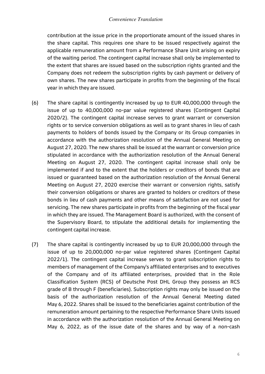contribution at the issue price in the proportionate amount of the issued shares in the share capital. This requires one share to be issued respectively against the applicable remuneration amount from a Performance Share Unit arising on expiry of the waiting period. The contingent capital increase shall only be implemented to the extent that shares are issued based on the subscription rights granted and the Company does not redeem the subscription rights by cash payment or delivery of own shares. The new shares participate in profits from the beginning of the fiscal year in which they are issued.

- (6) The share capital is contingently increased by up to EUR 40,000,000 through the issue of up to 40,000,000 no-par value registered shares (Contingent Capital 2020/2). The contingent capital increase serves to grant warrant or conversion rights or to service conversion obligations as well as to grant shares in lieu of cash payments to holders of bonds issued by the Company or its Group companies in accordance with the authorization resolution of the Annual General Meeting on August 27, 2020. The new shares shall be issued at the warrant or conversion price stipulated in accordance with the authorization resolution of the Annual General Meeting on August 27, 2020. The contingent capital increase shall only be implemented if and to the extent that the holders or creditors of bonds that are issued or guaranteed based on the authorization resolution of the Annual General Meeting on August 27, 2020 exercise their warrant or conversion rights, satisfy their conversion obligations or shares are granted to holders or creditors of these bonds in lieu of cash payments and other means of satisfaction are not used for servicing. The new shares participate in profits from the beginning of the fiscal year in which they are issued. The Management Board is authorized, with the consent of the Supervisory Board, to stipulate the additional details for implementing the contingent capital increase.
- (7) The share capital is contingently increased by up to EUR 20,000,000 through the issue of up to 20,000,000 no-par value registered shares (Contingent Capital 2022/1). The contingent capital increase serves to grant subscription rights to members of management of the Company's affiliated enterprises and to executives of the Company and of its affiliated enterprises, provided that in the Role Classification System (RCS) of Deutsche Post DHL Group they possess an RCS grade of B through F (beneficiaries). Subscription rights may only be issued on the basis of the authorization resolution of the Annual General Meeting dated May 6, 2022. Shares shall be issued to the beneficiaries against contribution of the remuneration amount pertaining to the respective Performance Share Units issued in accordance with the authorization resolution of the Annual General Meeting on May 6, 2022, as of the issue date of the shares and by way of a non-cash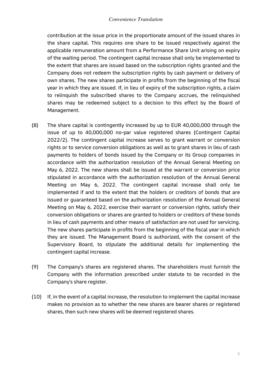contribution at the issue price in the proportionate amount of the issued shares in the share capital. This requires one share to be issued respectively against the applicable remuneration amount from a Performance Share Unit arising on expiry of the waiting period. The contingent capital increase shall only be implemented to the extent that shares are issued based on the subscription rights granted and the Company does not redeem the subscription rights by cash payment or delivery of own shares. The new shares participate in profits from the beginning of the fiscal year in which they are issued. If, in lieu of expiry of the subscription rights, a claim to relinquish the subscribed shares to the Company accrues, the relinquished shares may be redeemed subject to a decision to this effect by the Board of Management.

- (8) The share capital is contingently increased by up to EUR 40,000,000 through the issue of up to 40,000,000 no-par value registered shares (Contingent Capital 2022/2). The contingent capital increase serves to grant warrant or conversion rights or to service conversion obligations as well as to grant shares in lieu of cash payments to holders of bonds issued by the Company or its Group companies in accordance with the authorization resolution of the Annual General Meeting on May 6, 2022. The new shares shall be issued at the warrant or conversion price stipulated in accordance with the authorization resolution of the Annual General Meeting on May 6, 2022. The contingent capital increase shall only be implemented if and to the extent that the holders or creditors of bonds that are issued or guaranteed based on the authorization resolution of the Annual General Meeting on May 6, 2022, exercise their warrant or conversion rights, satisfy their conversion obligations or shares are granted to holders or creditors of these bonds in lieu of cash payments and other means of satisfaction are not used for servicing. The new shares participate in profits from the beginning of the fiscal year in which they are issued. The Management Board is authorized, with the consent of the Supervisory Board, to stipulate the additional details for implementing the contingent capital increase.
- (9) The Company's shares are registered shares. The shareholders must furnish the Company with the information prescribed under statute to be recorded in the Company's share register.
- (10) If, in the event of a capital increase, the resolution to implement the capital increase makes no provision as to whether the new shares are bearer shares or registered shares, then such new shares will be deemed registered shares.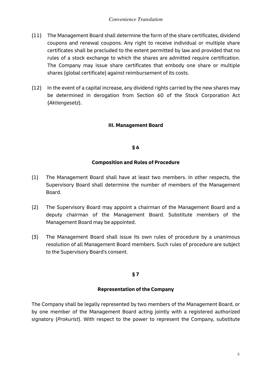- (11) The Management Board shall determine the form of the share certificates, dividend coupons and renewal coupons. Any right to receive individual or multiple share certificates shall be precluded to the extent permitted by law and provided that no rules of a stock exchange to which the shares are admitted require certification. The Company may issue share certificates that embody one share or multiple shares (global certificate) against reimbursement of its costs.
- (12) In the event of a capital increase, any dividend rights carried by the new shares may be determined in derogation from Section 60 of the Stock Corporation Act (Aktiengesetz).

## III. Management Board

#### § 6

#### Composition and Rules of Procedure

- (1) The Management Board shall have at least two members. In other respects, the Supervisory Board shall determine the number of members of the Management Board.
- (2) The Supervisory Board may appoint a chairman of the Management Board and a deputy chairman of the Management Board. Substitute members of the Management Board may be appointed.
- (3) The Management Board shall issue its own rules of procedure by a unanimous resolution of all Management Board members. Such rules of procedure are subject to the Supervisory Board's consent.

## § 7

#### Representation of the Company

The Company shall be legally represented by two members of the Management Board, or by one member of the Management Board acting jointly with a registered authorized signatory (Prokurist). With respect to the power to represent the Company, substitute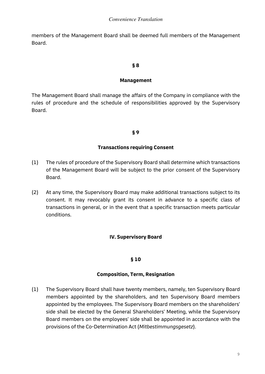members of the Management Board shall be deemed full members of the Management Board.

#### § 8

#### Management

The Management Board shall manage the affairs of the Company in compliance with the rules of procedure and the schedule of responsibilities approved by the Supervisory Board.

#### § 9

#### Transactions requiring Consent

- (1) The rules of procedure of the Supervisory Board shall determine which transactions of the Management Board will be subject to the prior consent of the Supervisory Board.
- (2) At any time, the Supervisory Board may make additional transactions subject to its consent. It may revocably grant its consent in advance to a specific class of transactions in general, or in the event that a specific transaction meets particular conditions.

## IV. Supervisory Board

#### § 10

#### Composition, Term, Resignation

(1) The Supervisory Board shall have twenty members, namely, ten Supervisory Board members appointed by the shareholders, and ten Supervisory Board members appointed by the employees. The Supervisory Board members on the shareholders' side shall be elected by the General Shareholders' Meeting, while the Supervisory Board members on the employees' side shall be appointed in accordance with the provisions of the Co-Determination Act (Mitbestimmungsgesetz).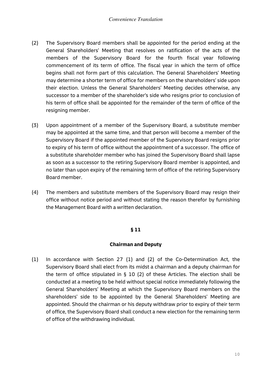- (2) The Supervisory Board members shall be appointed for the period ending at the General Shareholders' Meeting that resolves on ratification of the acts of the members of the Supervisory Board for the fourth fiscal year following commencement of its term of office. The fiscal year in which the term of office begins shall not form part of this calculation. The General Shareholders' Meeting may determine a shorter term of office for members on the shareholders' side upon their election. Unless the General Shareholders' Meeting decides otherwise, any successor to a member of the shareholder's side who resigns prior to conclusion of his term of office shall be appointed for the remainder of the term of office of the resigning member.
- (3) Upon appointment of a member of the Supervisory Board, a substitute member may be appointed at the same time, and that person will become a member of the Supervisory Board if the appointed member of the Supervisory Board resigns prior to expiry of his term of office without the appointment of a successor. The office of a substitute shareholder member who has joined the Supervisory Board shall lapse as soon as a successor to the retiring Supervisory Board member is appointed, and no later than upon expiry of the remaining term of office of the retiring Supervisory Board member.
- (4) The members and substitute members of the Supervisory Board may resign their office without notice period and without stating the reason therefor by furnishing the Management Board with a written declaration.

#### Chairman and Deputy

(1) In accordance with Section 27 (1) and (2) of the Co-Determination Act, the Supervisory Board shall elect from its midst a chairman and a deputy chairman for the term of office stipulated in § 10 (2) of these Articles. The election shall be conducted at a meeting to be held without special notice immediately following the General Shareholders' Meeting at which the Supervisory Board members on the shareholders' side to be appointed by the General Shareholders' Meeting are appointed. Should the chairman or his deputy withdraw prior to expiry of their term of office, the Supervisory Board shall conduct a new election for the remaining term of office of the withdrawing individual.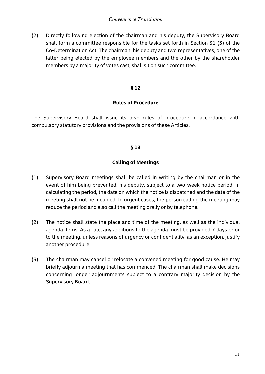(2) Directly following election of the chairman and his deputy, the Supervisory Board shall form a committee responsible for the tasks set forth in Section 31 (3) of the Co-Determination Act. The chairman, his deputy and two representatives, one of the latter being elected by the employee members and the other by the shareholder members by a majority of votes cast, shall sit on such committee.

#### § 12

#### Rules of Procedure

The Supervisory Board shall issue its own rules of procedure in accordance with compulsory statutory provisions and the provisions of these Articles.

#### § 13

#### Calling of Meetings

- (1) Supervisory Board meetings shall be called in writing by the chairman or in the event of him being prevented, his deputy, subject to a two-week notice period. In calculating the period, the date on which the notice is dispatched and the date of the meeting shall not be included. In urgent cases, the person calling the meeting may reduce the period and also call the meeting orally or by telephone.
- (2) The notice shall state the place and time of the meeting, as well as the individual agenda items. As a rule, any additions to the agenda must be provided 7 days prior to the meeting, unless reasons of urgency or confidentiality, as an exception, justify another procedure.
- (3) The chairman may cancel or relocate a convened meeting for good cause. He may briefly adjourn a meeting that has commenced. The chairman shall make decisions concerning longer adjournments subject to a contrary majority decision by the Supervisory Board.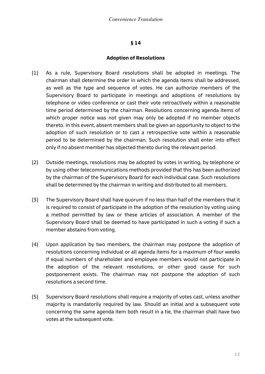#### Adoption of Resolutions

- (1) As a rule, Supervisory Board resolutions shall be adopted in meetings. The chairman shall determine the order in which the agenda items shall be addressed, as well as the type and sequence of votes. He can authorize members of the Supervisory Board to participate in meetings and adoptions of resolutions by telephone or video conference or cast their vote retroactively within a reasonable time period determined by the chairman. Resolutions concerning agenda items of which proper notice was not given may only be adopted if no member objects thereto. In this event, absent members shall be given an opportunity to object to the adoption of such resolution or to cast a retrospective vote within a reasonable period to be determined by the chairman. Such resolution shall enter into effect only if no absent member has objected thereto during the relevant period.
- (2) Outside meetings, resolutions may be adopted by votes in writing, by telephone or by using other telecommunications methods provided that this has been authorized by the chairman of the Supervisory Board for each individual case. Such resolutions shall be determined by the chairman in writing and distributed to all members.
- (3) The Supervisory Board shall have quorum if no less than half of the members that it is required to consist of participate in the adoption of the resolution by voting using a method permitted by law or these articles of association. A member of the Supervisory Board shall be deemed to have participated in such a voting if such a member abstains from voting.
- (4) Upon application by two members, the chairman may postpone the adoption of resolutions concerning individual or all agenda items for a maximum of four weeks if equal numbers of shareholder and employee members would not participate in the adoption of the relevant resolutions, or other good cause for such postponement exists. The chairman may not postpone the adoption of such resolutions a second time.
- (5) Supervisory Board resolutions shall require a majority of votes cast, unless another majority is mandatorily required by law. Should an initial and a subsequent vote concerning the same agenda item both result in a tie, the chairman shall have two votes at the subsequent vote.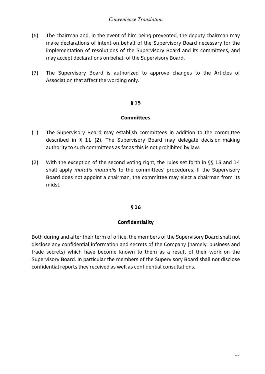- (6) The chairman and, in the event of him being prevented, the deputy chairman may make declarations of intent on behalf of the Supervisory Board necessary for the implementation of resolutions of the Supervisory Board and its committees, and may accept declarations on behalf of the Supervisory Board.
- (7) The Supervisory Board is authorized to approve changes to the Articles of Association that affect the wording only.

#### **Committees**

- (1) The Supervisory Board may establish committees in addition to the committee described in § 11 (2). The Supervisory Board may delegate decision-making authority to such committees as far as this is not prohibited by law.
- (2) With the exception of the second voting right, the rules set forth in §§ 13 and 14 shall apply mutatis mutandis to the committees' procedures. If the Supervisory Board does not appoint a chairman, the committee may elect a chairman from its midst.

#### § 16

## Confidentiality

Both during and after their term of office, the members of the Supervisory Board shall not disclose any confidential information and secrets of the Company (namely, business and trade secrets) which have become known to them as a result of their work on the Supervisory Board. In particular the members of the Supervisory Board shall not disclose confidential reports they received as well as confidential consultations.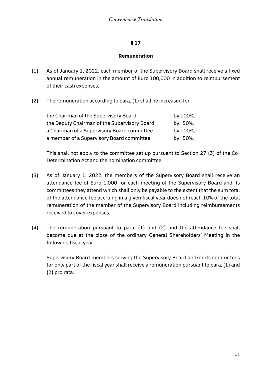#### Remuneration

- (1) As of January 1, 2022, each member of the Supervisory Board shall receive a fixed annual remuneration in the amount of Euro 100,000 in addition to reimbursement of their cash expenses.
- (2) The remuneration according to para. (1) shall be increased for

| the Chairman of the Supervisory Board        | by 100%, |
|----------------------------------------------|----------|
| the Deputy Chairman of the Supervisory Board | by 50%,  |
| a Chairman of a Supervisory Board committee  | by 100%, |
| a member of a Supervisory Board committee    | by 50%.  |

This shall not apply to the committee set up pursuant to Section 27 (3) of the Co-Determination Act and the nomination committee.

- (3) As of January 1, 2022, the members of the Supervisory Board shall receive an attendance fee of Euro 1,000 for each meeting of the Supervisory Board and its committees they attend which shall only be payable to the extent that the sum total of the attendance fee accruing in a given fiscal year does not reach 10% of the total remuneration of the member of the Supervisory Board including reimbursements received to cover expenses.
- (4) The remuneration pursuant to para. (1) and (2) and the attendance fee shall become due at the close of the ordinary General Shareholders' Meeting in the following fiscal year.

Supervisory Board members serving the Supervisory Board and/or its committees for only part of the fiscal year shall receive a remuneration pursuant to para. (1) and (2) pro rata.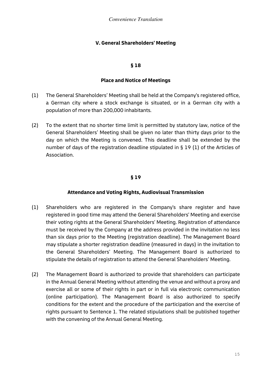## V. General Shareholders' Meeting

#### § 18

#### Place and Notice of Meetings

- (1) The General Shareholders' Meeting shall be held at the Company's registered office, a German city where a stock exchange is situated, or in a German city with a population of more than 200,000 inhabitants.
- (2) To the extent that no shorter time limit is permitted by statutory law, notice of the General Shareholders' Meeting shall be given no later than thirty days prior to the day on which the Meeting is convened. This deadline shall be extended by the number of days of the registration deadline stipulated in § 19 (1) of the Articles of Association.

#### § 19

## Attendance and Voting Rights, Audiovisual Transmission

- (1) Shareholders who are registered in the Company's share register and have registered in good time may attend the General Shareholders' Meeting and exercise their voting rights at the General Shareholders' Meeting. Registration of attendance must be received by the Company at the address provided in the invitation no less than six days prior to the Meeting (registration deadline). The Management Board may stipulate a shorter registration deadline (measured in days) in the invitation to the General Shareholders' Meeting. The Management Board is authorized to stipulate the details of registration to attend the General Shareholders' Meeting.
- (2) The Management Board is authorized to provide that shareholders can participate in the Annual General Meeting without attending the venue and without a proxy and exercise all or some of their rights in part or in full via electronic communication (online participation). The Management Board is also authorized to specify conditions for the extent and the procedure of the participation and the exercise of rights pursuant to Sentence 1. The related stipulations shall be published together with the convening of the Annual General Meeting.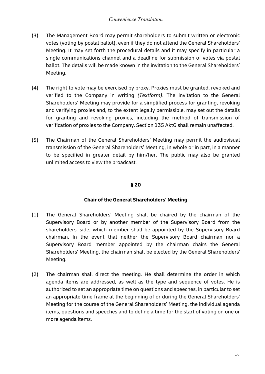- (3) The Management Board may permit shareholders to submit written or electronic votes (voting by postal ballot), even if they do not attend the General Shareholders' Meeting. It may set forth the procedural details and it may specify in particular a single communications channel and a deadline for submission of votes via postal ballot. The details will be made known in the invitation to the General Shareholders' Meeting.
- (4) The right to vote may be exercised by proxy. Proxies must be granted, revoked and verified to the Company in writing (Textform). The invitation to the General Shareholders' Meeting may provide for a simplified process for granting, revoking and verifying proxies and, to the extent legally permissible, may set out the details for granting and revoking proxies, including the method of transmission of verification of proxies to the Company. Section 135 AktG shall remain unaffected.
- (5) The Chairman of the General Shareholders' Meeting may permit the audiovisual transmission of the General Shareholders' Meeting, in whole or in part, in a manner to be specified in greater detail by him/her. The public may also be granted unlimited access to view the broadcast.

## Chair of the General Shareholders' Meeting

- (1) The General Shareholders' Meeting shall be chaired by the chairman of the Supervisory Board or by another member of the Supervisory Board from the shareholders' side, which member shall be appointed by the Supervisory Board chairman. In the event that neither the Supervisory Board chairman nor a Supervisory Board member appointed by the chairman chairs the General Shareholders' Meeting, the chairman shall be elected by the General Shareholders' Meeting.
- (2) The chairman shall direct the meeting. He shall determine the order in which agenda items are addressed, as well as the type and sequence of votes. He is authorized to set an appropriate time on questions and speeches, in particular to set an appropriate time frame at the beginning of or during the General Shareholders' Meeting for the course of the General Shareholders' Meeting, the individual agenda items, questions and speeches and to define a time for the start of voting on one or more agenda items.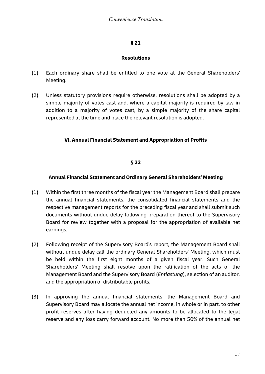#### Resolutions

- (1) Each ordinary share shall be entitled to one vote at the General Shareholders' Meeting.
- (2) Unless statutory provisions require otherwise, resolutions shall be adopted by a simple majority of votes cast and, where a capital majority is required by law in addition to a majority of votes cast, by a simple majority of the share capital represented at the time and place the relevant resolution is adopted.

## VI. Annual Financial Statement and Appropriation of Profits

#### § 22

## Annual Financial Statement and Ordinary General Shareholders' Meeting

- (1) Within the first three months of the fiscal year the Management Board shall prepare the annual financial statements, the consolidated financial statements and the respective management reports for the preceding fiscal year and shall submit such documents without undue delay following preparation thereof to the Supervisory Board for review together with a proposal for the appropriation of available net earnings.
- (2) Following receipt of the Supervisory Board's report, the Management Board shall without undue delay call the ordinary General Shareholders' Meeting, which must be held within the first eight months of a given fiscal year. Such General Shareholders' Meeting shall resolve upon the ratification of the acts of the Management Board and the Supervisory Board (Entlastung), selection of an auditor, and the appropriation of distributable profits.
- (3) In approving the annual financial statements, the Management Board and Supervisory Board may allocate the annual net income, in whole or in part, to other profit reserves after having deducted any amounts to be allocated to the legal reserve and any loss carry forward account. No more than 50% of the annual net